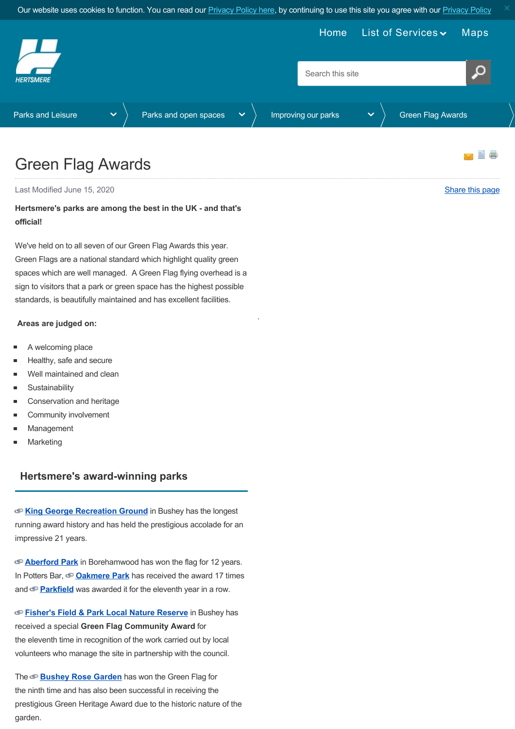<span id="page-0-0"></span>

.

# Green Flag Awards

Last Modified June 15, 2020 [Share this page](http://www.addthis.com/bookmark.php?v=250&pubid=xa-502e5fd570edcb1e) of the state of the state of the state of the state of the state of the state of the state of the state of the state of the state of the state of the state of the state of the st

### **Hertsmere's parks are among the best in the UK - and that's official!**

We've held on to all seven of our Green Flag Awards this year. Green Flags are a national standard which highlight quality green spaces which are well managed. A Green Flag flying overhead is a sign to visitors that a park or green space has the highest possible standards, is beautifully maintained and has excellent facilities.

#### **Areas are judged on:**

- A welcoming place
- Healthy, safe and secure
- Well maintained and clean
- **Sustainability**
- Conservation and heritage
- Community involvement
- Management
- Marketing

#### **Hertsmere's award-winning parks**

**[King George Recreation Ground](https://www.parksherts.co.uk/parks/view/king-george-recreation-ground)** in Bushey has the longest running award history and has held the prestigious accolade for an impressive 21 years.

**[Aberford Park](https://www.parksherts.co.uk/parks/view/aberford-park)** in Borehamwood has won the flag for 12 years. In Potters Bar, **[Oakmere Park](https://www.parksherts.co.uk/parks/view/oakmere-park)** has received the award 17 times and **[Parkfield](https://www.parksherts.co.uk/parks/view/parkfield)** was awarded it for the eleventh year in a row.

**[Fisher's Field & Park Local Nature Reserve](https://www.parksherts.co.uk/parks/view/fishers-field-local-nature-reserve-fishers-park)** in Bushey has received a special **Green Flag Community Award** for the eleventh time in recognition of the work carried out by local volunteers who manage the site in partnership with the council.

The **[Bushey Rose Garden](https://www.parksherts.co.uk/parks/view/bushey-rose-garden)** has won the Green Flag for the ninth time and has also been successful in receiving the prestigious Green Heritage Award due to the historic nature of the garden.